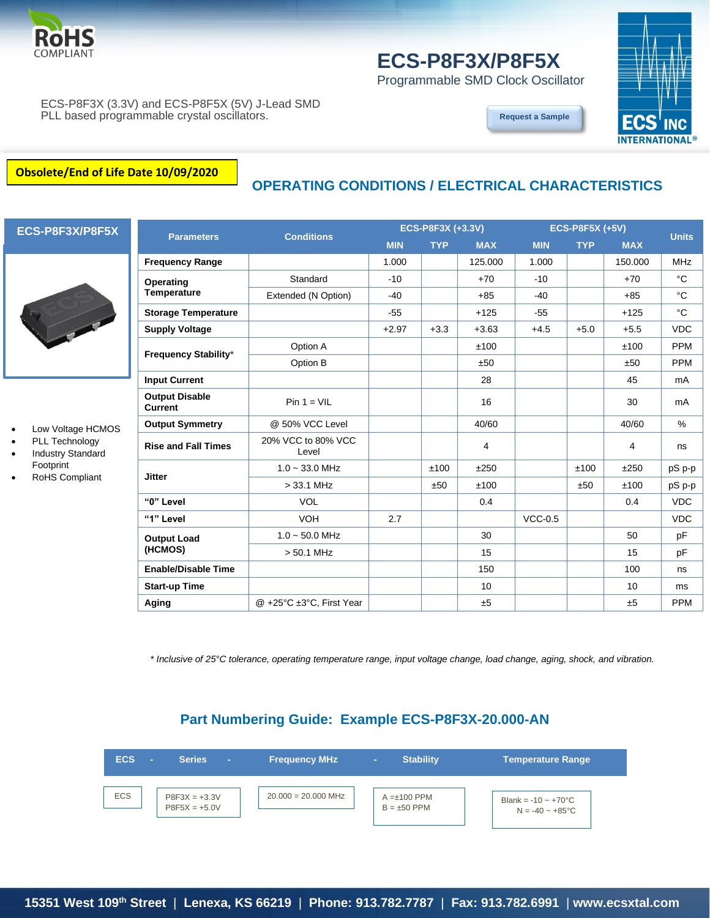

# **ECS-P8F3X/P8F5X**

Programmable SMD Clock Oscillator



ECS-P8F3X (3.3V) and ECS-P8F5X (5V) J-Lead SMD PLL based programmable crystal oscillators.

**[Request a Sample](http://ecsxtalportal.com/samplepilot/samplerequest.php)**

#### **Obsolete/End of Life Date 10/09/2020**

## **OPERATING CONDITIONS / ELECTRICAL CHARACTERISTICS**



- Low Voltage HCMOS
- PLL Technology
- Industry Standard
- Footprint
- RoHS Compliant

| <b>Parameters</b>                       | <b>Conditions</b>           | ECS-P8F3X (+3.3V) |            |            | <b>ECS-P8F5X (+5V)</b> |            |            | <b>Units</b> |
|-----------------------------------------|-----------------------------|-------------------|------------|------------|------------------------|------------|------------|--------------|
|                                         |                             | <b>MIN</b>        | <b>TYP</b> | <b>MAX</b> | <b>MIN</b>             | <b>TYP</b> | <b>MAX</b> |              |
| <b>Frequency Range</b>                  |                             | 1.000             |            | 125.000    | 1.000                  |            | 150.000    | <b>MHz</b>   |
| Operating                               | Standard                    | $-10$             |            | $+70$      | $-10$                  |            | $+70$      | $^{\circ}C$  |
| <b>Temperature</b>                      | Extended (N Option)         | $-40$             |            | $+85$      | $-40$                  |            | $+85$      | $^{\circ}C$  |
| <b>Storage Temperature</b>              |                             | $-55$             |            | $+125$     | $-55$                  |            | $+125$     | $^{\circ}C$  |
| <b>Supply Voltage</b>                   |                             | $+2.97$           | $+3.3$     | $+3.63$    | $+4.5$                 | $+5.0$     | $+5.5$     | <b>VDC</b>   |
| <b>Frequency Stability*</b>             | Option A                    |                   |            | ±100       |                        |            | ±100       | <b>PPM</b>   |
|                                         | Option B                    |                   |            | ±50        |                        |            | ±50        | <b>PPM</b>   |
| <b>Input Current</b>                    |                             |                   |            | 28         |                        |            | 45         | mA           |
| <b>Output Disable</b><br><b>Current</b> | $Pin 1 = VIL$               |                   |            | 16         |                        |            | 30         | mA           |
| <b>Output Symmetry</b>                  | @ 50% VCC Level             |                   |            | 40/60      |                        |            | 40/60      | $\%$         |
| <b>Rise and Fall Times</b>              | 20% VCC to 80% VCC<br>Level |                   |            | 4          |                        |            | 4          | ns           |
| <b>Jitter</b>                           | $1.0 - 33.0$ MHz            |                   | ±100       | ±250       |                        | ±100       | ±250       | pS p-p       |
|                                         | $>$ 33.1 MHz                |                   | ±50        | ±100       |                        | ±50        | ±100       | pS p-p       |
| "0" Level                               | <b>VOL</b>                  |                   |            | 0.4        |                        |            | 0.4        | <b>VDC</b>   |
| "1" Level                               | <b>VOH</b>                  | 2.7               |            |            | $VCC-0.5$              |            |            | <b>VDC</b>   |
| <b>Output Load</b><br>(HCMOS)           | $1.0 \sim 50.0$ MHz         |                   |            | 30         |                        |            | 50         | pF           |
|                                         | $> 50.1$ MHz                |                   |            | 15         |                        |            | 15         | pF           |
| <b>Enable/Disable Time</b>              |                             |                   |            | 150        |                        |            | 100        | ns           |
| <b>Start-up Time</b>                    |                             |                   |            | 10         |                        |            | 10         | ms           |
| Aging                                   | @ +25°C ±3°C, First Year    |                   |            | ±5         |                        |            | ±5         | <b>PPM</b>   |

*\* Inclusive of 25°C tolerance, operating temperature range, input voltage change, load change, aging, shock, and vibration.*

#### **Part Numbering Guide: Example ECS-P8F3X-20.000-AN**

| <b>ECS</b> | <b>Series</b><br>×.                | <b>Frequency MHz</b>  | <b>Stability</b><br>×                 | Temperature Range                                               |
|------------|------------------------------------|-----------------------|---------------------------------------|-----------------------------------------------------------------|
| <b>ECS</b> | $P8F3X = +3.3V$<br>$P8F5X = +5.0V$ | $20.000 = 20.000$ MHz | $A = \pm 100$ PPM<br>$B = \pm 50$ PPM | Blank = $-10 \sim +70^{\circ}$ C<br>$N = -40 \sim +85^{\circ}C$ |